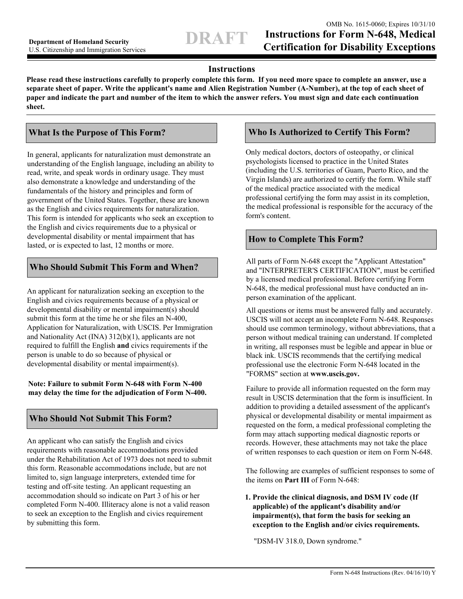### **Instructions**

**Please read these instructions carefully to properly complete this form. If you need more space to complete an answer, use a separate sheet of paper. Write the applicant's name and Alien Registration Number (A-Number), at the top of each sheet of paper and indicate the part and number of the item to which the answer refers. You must sign and date each continuation sheet.** 

**DRAFT**

### **What Is the Purpose of This Form?**

In general, applicants for naturalization must demonstrate an understanding of the English language, including an ability to read, write, and speak words in ordinary usage. They must also demonstrate a knowledge and understanding of the fundamentals of the history and principles and form of government of the United States. Together, these are known as the English and civics requirements for naturalization. This form is intended for applicants who seek an exception to the English and civics requirements due to a physical or developmental disability or mental impairment that has lasted, or is expected to last, 12 months or more.

# **Who Should Submit This Form and When?**

An applicant for naturalization seeking an exception to the English and civics requirements because of a physical or developmental disability or mental impairment(s) should submit this form at the time he or she files an N-400, Application for Naturalization, with USCIS. Per Immigration and Nationality Act (INA) 312(b)(1), applicants are not required to fulfill the English **and** civics requirements if the person is unable to do so because of physical or developmental disability or mental impairment(s).

#### **Note: Failure to submit Form N-648 with Form N-400 may delay the time for the adjudication of Form N-400.**

# **Who Should Not Submit This Form?**

An applicant who can satisfy the English and civics requirements with reasonable accommodations provided under the Rehabilitation Act of 1973 does not need to submit this form. Reasonable accommodations include, but are not limited to, sign language interpreters, extended time for testing and off-site testing. An applicant requesting an accommodation should so indicate on Part 3 of his or her completed Form N-400. Illiteracy alone is not a valid reason to seek an exception to the English and civics requirement by submitting this form.

### **Who Is Authorized to Certify This Form?**

Only medical doctors, doctors of osteopathy, or clinical psychologists licensed to practice in the United States (including the U.S. territories of Guam, Puerto Rico, and the Virgin Islands) are authorized to certify the form. While staff of the medical practice associated with the medical professional certifying the form may assist in its completion, the medical professional is responsible for the accuracy of the form's content.

# **How to Complete This Form?**

All parts of Form N-648 except the "Applicant Attestation" and "INTERPRETER'S CERTIFICATION", must be certified by a licensed medical professional. Before certifying Form N-648, the medical professional must have conducted an inperson examination of the applicant.

All questions or items must be answered fully and accurately. USCIS will not accept an incomplete Form N-648. Responses should use common terminology, without abbreviations, that a person without medical training can understand. If completed in writing, all responses must be legible and appear in blue or black ink. USCIS recommends that the certifying medical professional use the electronic Form N-648 located in the "FORMS" section at **www.uscis.gov.**

Failure to provide all information requested on the form may result in USCIS determination that the form is insufficient. In addition to providing a detailed assessment of the applicant's physical or developmental disability or mental impairment as requested on the form, a medical professional completing the form may attach supporting medical diagnostic reports or records. However, these attachments may not take the place of written responses to each question or item on Form N-648.

The following are examples of sufficient responses to some of the items on **Part III** of Form N-648:

#### **1. Provide the clinical diagnosis, and DSM IV code (If applicable) of the applicant's disability and/or impairment(s), that form the basis for seeking an exception to the English and/or civics requirements.**

"DSM-IV 318.0, Down syndrome."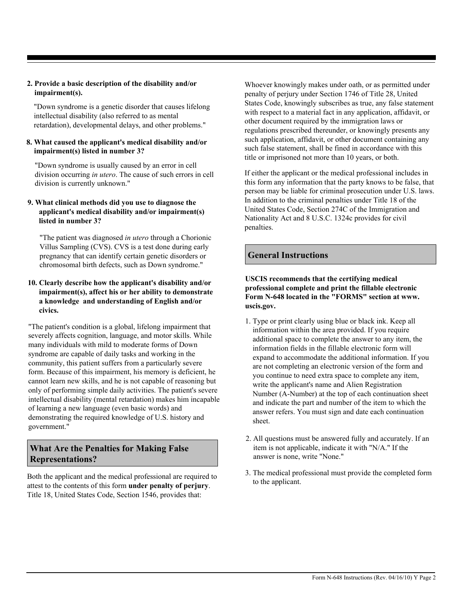#### **2. Provide a basic description of the disability and/or impairment(s).**

"Down syndrome is a genetic disorder that causes lifelong intellectual disability (also referred to as mental retardation), developmental delays, and other problems."

#### **8. What caused the applicant's medical disability and/or impairment(s) listed in number 3?**

"Down syndrome is usually caused by an error in cell division occurring *in utero*. The cause of such errors in cell division is currently unknown."

#### **9. What clinical methods did you use to diagnose the applicant's medical disability and/or impairment(s) listed in number 3?**

"The patient was diagnosed *in utero* through a Chorionic Villus Sampling (CVS). CVS is a test done during early pregnancy that can identify certain genetic disorders or chromosomal birth defects, such as Down syndrome."

#### **10. Clearly describe how the applicant's disability and/or impairment(s), affect his or her ability to demonstrate a knowledge and understanding of English and/or civics.**

"The patient's condition is a global, lifelong impairment that severely affects cognition, language, and motor skills. While many individuals with mild to moderate forms of Down syndrome are capable of daily tasks and working in the community, this patient suffers from a particularly severe form. Because of this impairment, his memory is deficient, he cannot learn new skills, and he is not capable of reasoning but only of performing simple daily activities. The patient's severe intellectual disability (mental retardation) makes him incapable of learning a new language (even basic words) and demonstrating the required knowledge of U.S. history and government."

# **What Are the Penalties for Making False Representations?**

Both the applicant and the medical professional are required to attest to the contents of this form **under penalty of perjury**. Title 18, United States Code, Section 1546, provides that:

Whoever knowingly makes under oath, or as permitted under penalty of perjury under Section 1746 of Title 28, United States Code, knowingly subscribes as true, any false statement with respect to a material fact in any application, affidavit, or other document required by the immigration laws or regulations prescribed thereunder, or knowingly presents any such application, affidavit, or other document containing any such false statement, shall be fined in accordance with this title or imprisoned not more than 10 years, or both.

If either the applicant or the medical professional includes in this form any information that the party knows to be false, that person may be liable for criminal prosecution under U.S. laws. In addition to the criminal penalties under Title 18 of the United States Code, Section 274C of the Immigration and Nationality Act and 8 U.S.C. 1324c provides for civil penalties.

# **General Instructions**

#### **USCIS recommends that the certifying medical professional complete and print the fillable electronic Form N-648 located in the "FORMS" section at www. uscis.gov.**

- 1. Type or print clearly using blue or black ink. Keep all information within the area provided. If you require additional space to complete the answer to any item, the information fields in the fillable electronic form will expand to accommodate the additional information. If you are not completing an electronic version of the form and you continue to need extra space to complete any item, write the applicant's name and Alien Registration Number (A-Number) at the top of each continuation sheet and indicate the part and number of the item to which the answer refers. You must sign and date each continuation sheet.
- 2. All questions must be answered fully and accurately. If an item is not applicable, indicate it with "N/A." If the answer is none, write "None."
- 3. The medical professional must provide the completed form to the applicant.